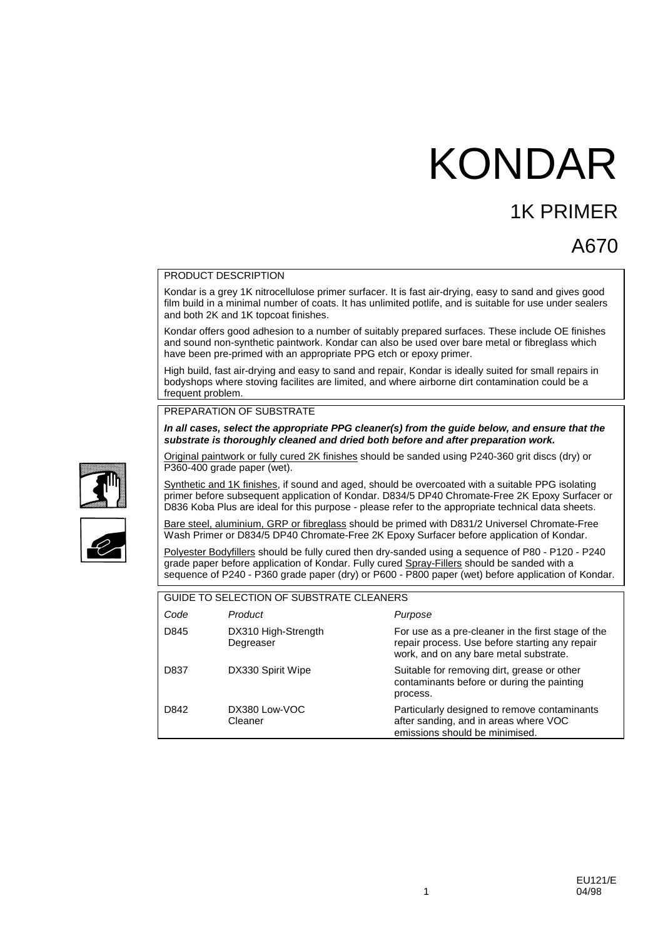# KONDAR

## 1K PRIMER

### A670

#### PRODUCT DESCRIPTION

 Kondar is a grey 1K nitrocellulose primer surfacer. It is fast air-drying, easy to sand and gives good film build in a minimal number of coats. It has unlimited potlife, and is suitable for use under sealers and both 2K and 1K topcoat finishes.

Kondar offers good adhesion to a number of suitably prepared surfaces. These include OE finishes and sound non-synthetic paintwork. Kondar can also be used over bare metal or fibreglass which have been pre-primed with an appropriate PPG etch or epoxy primer.

 High build, fast air-drying and easy to sand and repair, Kondar is ideally suited for small repairs in bodyshops where stoving facilites are limited, and where airborne dirt contamination could be a frequent problem.

PREPARATION OF SUBSTRATE

**In all cases, select the appropriate PPG cleaner(s) from the guide below, and ensure that the substrate is thoroughly cleaned and dried both before and after preparation work.** 

 Original paintwork or fully cured 2K finishes should be sanded using P240-360 grit discs (dry) or P360-400 grade paper (wet).

Synthetic and 1K finishes, if sound and aged, should be overcoated with a suitable PPG isolating primer before subsequent application of Kondar. D834/5 DP40 Chromate-Free 2K Epoxy Surfacer or D836 Koba Plus are ideal for this purpose - please refer to the appropriate technical data sheets.

 Bare steel, aluminium, GRP or fibreglass should be primed with D831/2 Universel Chromate-Free Wash Primer or D834/5 DP40 Chromate-Free 2K Epoxy Surfacer before application of Kondar.

Polyester Bodyfillers should be fully cured then dry-sanded using a sequence of P80 - P120 - P240 grade paper before application of Kondar. Fully cured Spray-Fillers should be sanded with a sequence of P240 - P360 grade paper (dry) or P600 - P800 paper (wet) before application of Kondar.

#### GUIDE TO SELECTION OF SUBSTRATE CLEANERS

| Code | Product                          | Purpose                                                                                                                                        |
|------|----------------------------------|------------------------------------------------------------------------------------------------------------------------------------------------|
| D845 | DX310 High-Strength<br>Degreaser | For use as a pre-cleaner in the first stage of the<br>repair process. Use before starting any repair<br>work, and on any bare metal substrate. |
| D837 | DX330 Spirit Wipe                | Suitable for removing dirt, grease or other<br>contaminants before or during the painting<br>process.                                          |
| D842 | DX380 Low-VOC<br>Cleaner         | Particularly designed to remove contaminants<br>after sanding, and in areas where VOC<br>emissions should be minimised.                        |



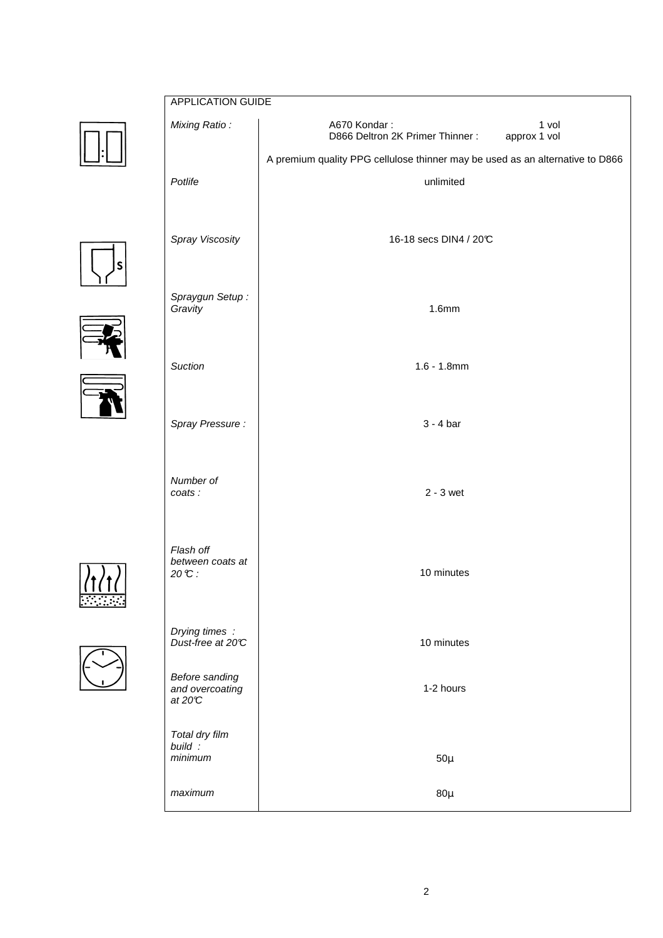## $\boxed{\fbox{1.5}}$











| <b>APPLICATION GUIDE</b>                      |                                                                               |  |
|-----------------------------------------------|-------------------------------------------------------------------------------|--|
| Mixing Ratio:                                 | A670 Kondar:<br>1 vol<br>D866 Deltron 2K Primer Thinner:<br>approx 1 vol      |  |
|                                               | A premium quality PPG cellulose thinner may be used as an alternative to D866 |  |
| Potlife                                       | unlimited                                                                     |  |
| Spray Viscosity                               | 16-18 secs DIN4 / 20°C                                                        |  |
| Spraygun Setup:<br>Gravity                    | 1.6mm                                                                         |  |
| Suction                                       | $1.6 - 1.8$ mm                                                                |  |
| Spray Pressure:                               | $3 - 4$ bar                                                                   |  |
| Number of<br>coats:                           | $2 - 3$ wet                                                                   |  |
| Flash off<br>between coats at<br>20°C:        | 10 minutes                                                                    |  |
| Drying times :<br>Dust-free at 20°C           | 10 minutes                                                                    |  |
| Before sanding<br>and overcoating<br>at $20C$ | 1-2 hours                                                                     |  |
| Total dry film<br>build:<br>minimum           | $50\mu$                                                                       |  |
| maximum                                       | $80\mu$                                                                       |  |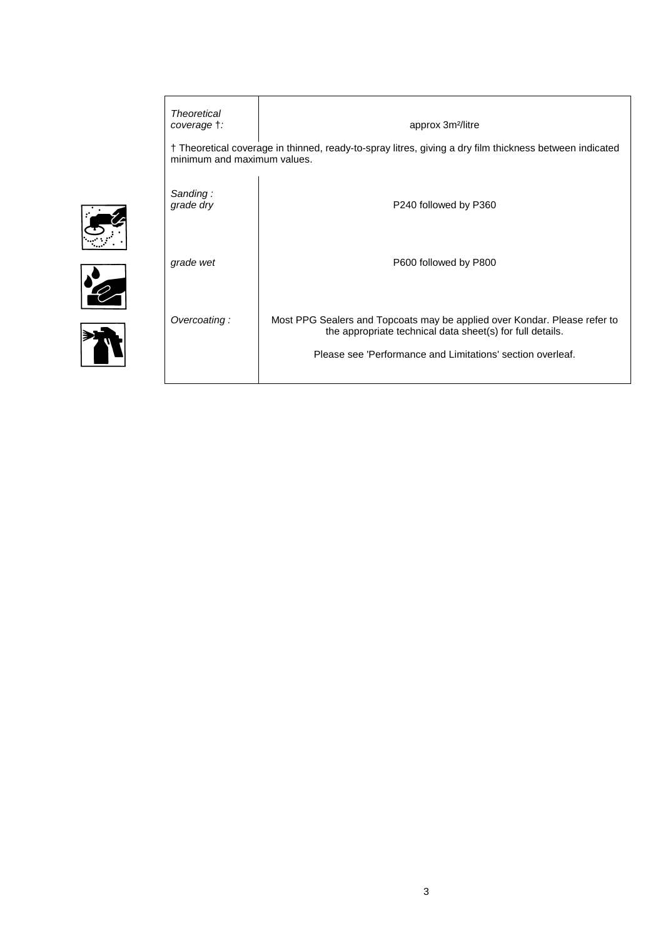| <b>Theoretical</b><br>coverage †:                                                                                                      | approx 3m <sup>2</sup> /litre                                                                                                                                                                        |  |
|----------------------------------------------------------------------------------------------------------------------------------------|------------------------------------------------------------------------------------------------------------------------------------------------------------------------------------------------------|--|
| † Theoretical coverage in thinned, ready-to-spray litres, giving a dry film thickness between indicated<br>minimum and maximum values. |                                                                                                                                                                                                      |  |
| Sanding:<br>grade dry                                                                                                                  | P240 followed by P360                                                                                                                                                                                |  |
| grade wet                                                                                                                              | P600 followed by P800                                                                                                                                                                                |  |
| Overcoating:                                                                                                                           | Most PPG Sealers and Topcoats may be applied over Kondar. Please refer to<br>the appropriate technical data sheet(s) for full details.<br>Please see 'Performance and Limitations' section overleaf. |  |